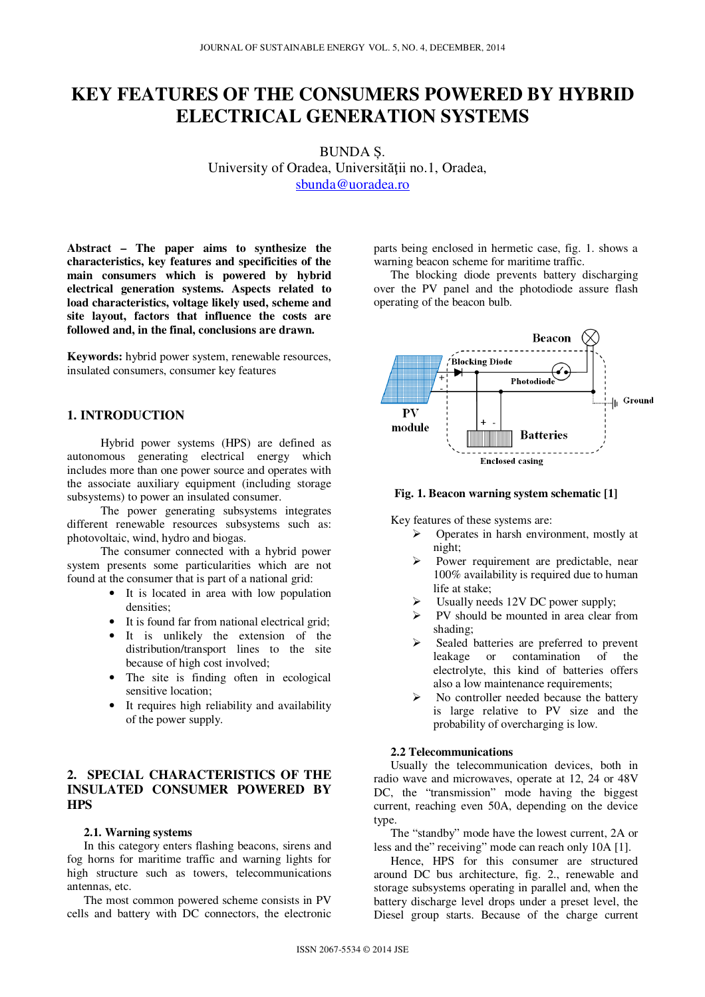# **KEY FEATURES OF THE CONSUMERS POWERED BY HYBRID ELECTRICAL GENERATION SYSTEMS**

BUNDA Ș. University of Oradea, Universităţii no.1, Oradea, sbunda@uoradea.ro

**Abstract – The paper aims to synthesize the characteristics, key features and specificities of the main consumers which is powered by hybrid electrical generation systems. Aspects related to load characteristics, voltage likely used, scheme and site layout, factors that influence the costs are followed and, in the final, conclusions are drawn.** 

**Keywords:** hybrid power system, renewable resources, insulated consumers, consumer key features

## **1. INTRODUCTION**

Hybrid power systems (HPS) are defined as autonomous generating electrical energy which includes more than one power source and operates with the associate auxiliary equipment (including storage subsystems) to power an insulated consumer.

The power generating subsystems integrates different renewable resources subsystems such as: photovoltaic, wind, hydro and biogas.

The consumer connected with a hybrid power system presents some particularities which are not found at the consumer that is part of a national grid:

- It is located in area with low population densities;
- It is found far from national electrical grid;
- It is unlikely the extension of the distribution/transport lines to the site because of high cost involved;
- The site is finding often in ecological sensitive location;
- It requires high reliability and availability of the power supply.

## **2. SPECIAL CHARACTERISTICS OF THE INSULATED CONSUMER POWERED BY HPS**

#### **2.1. Warning systems**

In this category enters flashing beacons, sirens and fog horns for maritime traffic and warning lights for high structure such as towers, telecommunications antennas, etc.

The most common powered scheme consists in PV cells and battery with DC connectors, the electronic parts being enclosed in hermetic case, fig. 1. shows a warning beacon scheme for maritime traffic.

The blocking diode prevents battery discharging over the PV panel and the photodiode assure flash operating of the beacon bulb.



#### **Fig. 1. Beacon warning system schematic [1]**

Key features of these systems are:

- $\triangleright$  Operates in harsh environment, mostly at night;
- Power requirement are predictable, near 100% availability is required due to human life at stake;
- Usually needs 12V DC power supply;
- $\triangleright$  PV should be mounted in area clear from shading;
- Sealed batteries are preferred to prevent leakage or contamination of the electrolyte, this kind of batteries offers also a low maintenance requirements;
- No controller needed because the battery is large relative to PV size and the probability of overcharging is low.

## **2.2 Telecommunications**

Usually the telecommunication devices, both in radio wave and microwaves, operate at 12, 24 or 48V DC, the "transmission" mode having the biggest current, reaching even 50A, depending on the device type.

The "standby" mode have the lowest current, 2A or less and the" receiving" mode can reach only 10A [1].

Hence, HPS for this consumer are structured around DC bus architecture, fig. 2., renewable and storage subsystems operating in parallel and, when the battery discharge level drops under a preset level, the Diesel group starts. Because of the charge current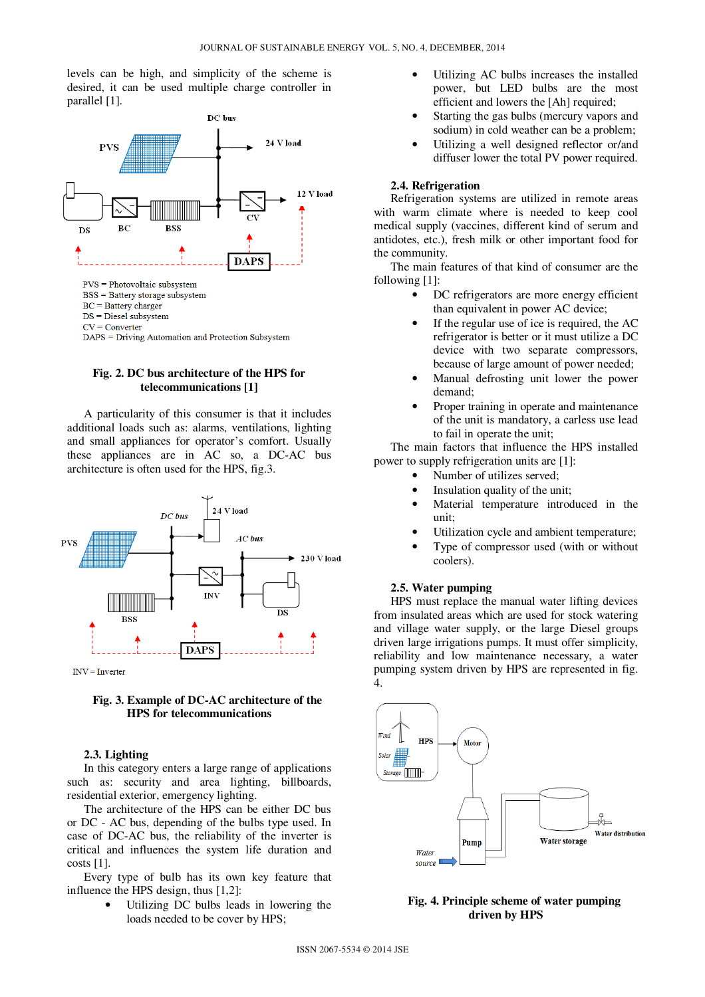levels can be high, and simplicity of the scheme is desired, it can be used multiple charge controller in parallel [1].



## **Fig. 2. DC bus architecture of the HPS for telecommunications [1]**

A particularity of this consumer is that it includes additional loads such as: alarms, ventilations, lighting and small appliances for operator's comfort. Usually these appliances are in AC so, a DC-AC bus architecture is often used for the HPS, fig.3.



## **Fig. 3. Example of DC-AC architecture of the HPS for telecommunications**

#### **2.3. Lighting**

In this category enters a large range of applications such as: security and area lighting, billboards, residential exterior, emergency lighting.

The architecture of the HPS can be either DC bus or DC - AC bus, depending of the bulbs type used. In case of DC-AC bus, the reliability of the inverter is critical and influences the system life duration and costs [1].

Every type of bulb has its own key feature that influence the HPS design, thus [1,2]:

Utilizing DC bulbs leads in lowering the loads needed to be cover by HPS;

- Utilizing AC bulbs increases the installed power, but LED bulbs are the most efficient and lowers the [Ah] required;
- Starting the gas bulbs (mercury vapors and sodium) in cold weather can be a problem;
- Utilizing a well designed reflector or/and diffuser lower the total PV power required.

#### **2.4. Refrigeration**

Refrigeration systems are utilized in remote areas with warm climate where is needed to keep cool medical supply (vaccines, different kind of serum and antidotes, etc.), fresh milk or other important food for the community.

The main features of that kind of consumer are the following [1]:

- DC refrigerators are more energy efficient than equivalent in power AC device;
- If the regular use of ice is required, the AC refrigerator is better or it must utilize a DC device with two separate compressors, because of large amount of power needed;
- Manual defrosting unit lower the power demand;
- Proper training in operate and maintenance of the unit is mandatory, a carless use lead to fail in operate the unit;

The main factors that influence the HPS installed power to supply refrigeration units are [1]:

- Number of utilizes served;
- Insulation quality of the unit;
- Material temperature introduced in the unit;
- Utilization cycle and ambient temperature;
- Type of compressor used (with or without coolers).

## **2.5. Water pumping**

HPS must replace the manual water lifting devices from insulated areas which are used for stock watering and village water supply, or the large Diesel groups driven large irrigations pumps. It must offer simplicity, reliability and low maintenance necessary, a water pumping system driven by HPS are represented in fig. 4.



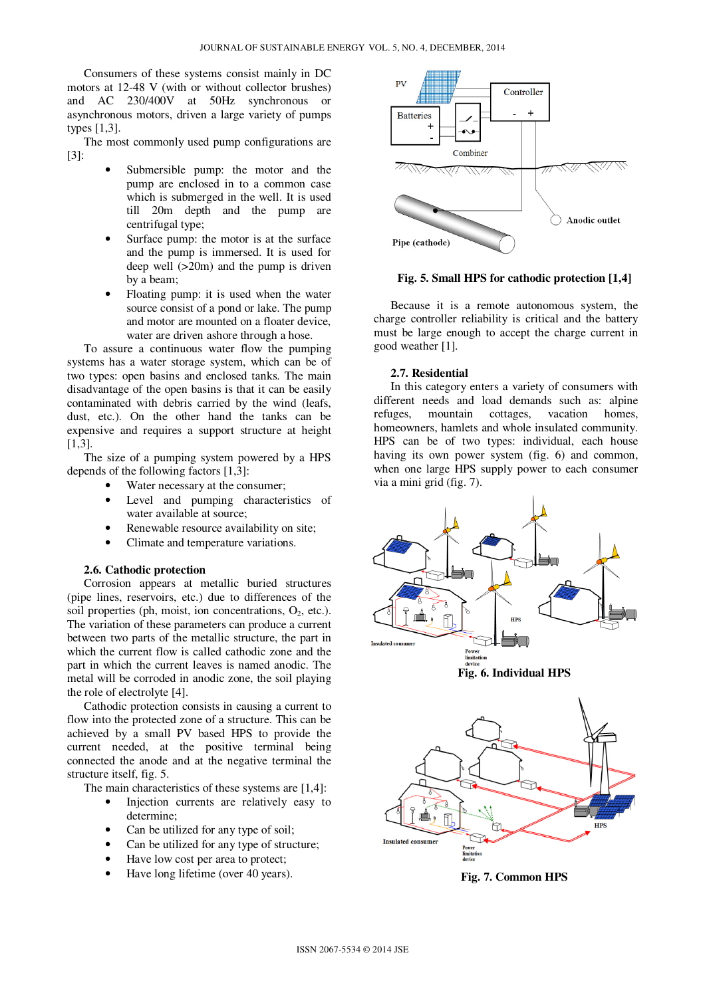Consumers of these systems consist mainly in DC motors at 12-48 V (with or without collector brushes) and AC 230/400V at 50Hz synchronous or asynchronous motors, driven a large variety of pumps types [1,3].

The most commonly used pump configurations are [3]:

- Submersible pump: the motor and the pump are enclosed in to a common case which is submerged in the well. It is used till 20m depth and the pump are centrifugal type;
- Surface pump: the motor is at the surface and the pump is immersed. It is used for deep well (>20m) and the pump is driven by a beam;
- Floating pump: it is used when the water source consist of a pond or lake. The pump and motor are mounted on a floater device, water are driven ashore through a hose.

To assure a continuous water flow the pumping systems has a water storage system, which can be of two types: open basins and enclosed tanks. The main disadvantage of the open basins is that it can be easily contaminated with debris carried by the wind (leafs, dust, etc.). On the other hand the tanks can be expensive and requires a support structure at height [1,3].

The size of a pumping system powered by a HPS depends of the following factors [1,3]:

- Water necessary at the consumer;
- Level and pumping characteristics of water available at source;
- Renewable resource availability on site;
- Climate and temperature variations.

#### **2.6. Cathodic protection**

Corrosion appears at metallic buried structures (pipe lines, reservoirs, etc.) due to differences of the soil properties (ph, moist, ion concentrations,  $O_2$ , etc.). The variation of these parameters can produce a current between two parts of the metallic structure, the part in which the current flow is called cathodic zone and the part in which the current leaves is named anodic. The metal will be corroded in anodic zone, the soil playing the role of electrolyte [4].

Cathodic protection consists in causing a current to flow into the protected zone of a structure. This can be achieved by a small PV based HPS to provide the current needed, at the positive terminal being connected the anode and at the negative terminal the structure itself, fig. 5.

The main characteristics of these systems are [1,4]:

- Injection currents are relatively easy to determine;
- Can be utilized for any type of soil;
- Can be utilized for any type of structure;
- Have low cost per area to protect;
- Have long lifetime (over 40 years).



**Fig. 5. Small HPS for cathodic protection [1,4]**

Because it is a remote autonomous system, the charge controller reliability is critical and the battery must be large enough to accept the charge current in good weather [1].

#### **2.7. Residential**

In this category enters a variety of consumers with different needs and load demands such as: alpine refuges, mountain cottages, vacation homes, homeowners, hamlets and whole insulated community. HPS can be of two types: individual, each house having its own power system (fig. 6) and common, when one large HPS supply power to each consumer via a mini grid (fig. 7).







**Fig. 7. Common HPS**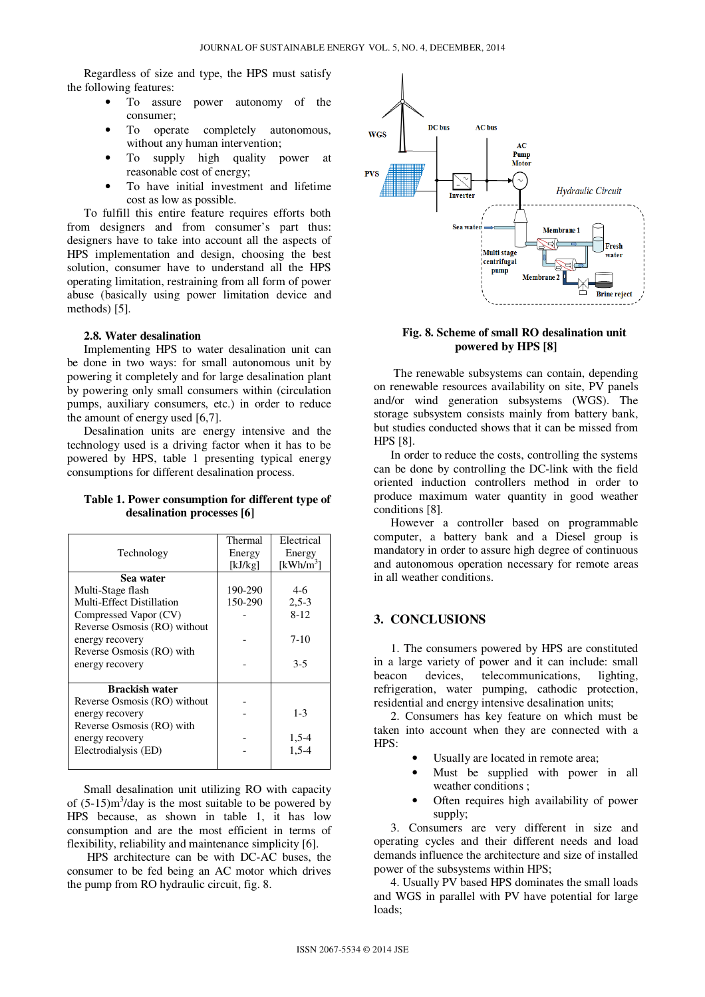Regardless of size and type, the HPS must satisfy the following features:

- To assure power autonomy of the consumer;
- To operate completely autonomous, without any human intervention;
- To supply high quality power at reasonable cost of energy;
- To have initial investment and lifetime cost as low as possible.

To fulfill this entire feature requires efforts both from designers and from consumer's part thus: designers have to take into account all the aspects of HPS implementation and design, choosing the best solution, consumer have to understand all the HPS operating limitation, restraining from all form of power abuse (basically using power limitation device and methods) [5].

## **2.8. Water desalination**

Implementing HPS to water desalination unit can be done in two ways: for small autonomous unit by powering it completely and for large desalination plant by powering only small consumers within (circulation pumps, auxiliary consumers, etc.) in order to reduce the amount of energy used [6,7].

Desalination units are energy intensive and the technology used is a driving factor when it has to be powered by HPS, table 1 presenting typical energy consumptions for different desalination process.

## **Table 1. Power consumption for different type of desalination processes [6]**

|                              | Thermal | Electrical |
|------------------------------|---------|------------|
| Technology                   | Energy  | Energy     |
|                              | [kJ/kg] | [ $kWh/m3$ |
| Sea water                    |         |            |
| Multi-Stage flash            | 190-290 | $4-6$      |
| Multi-Effect Distillation    | 150-290 | $2,5-3$    |
| Compressed Vapor (CV)        |         | $8-12$     |
| Reverse Osmosis (RO) without |         |            |
| energy recovery              |         | $7-10$     |
| Reverse Osmosis (RO) with    |         |            |
| energy recovery              |         | $3-5$      |
|                              |         |            |
| <b>Brackish water</b>        |         |            |
| Reverse Osmosis (RO) without |         |            |
| energy recovery              |         | $1 - 3$    |
| Reverse Osmosis (RO) with    |         |            |
| energy recovery              |         | 1,5-4      |
| Electrodialysis (ED)         |         | $1.5 - 4$  |
|                              |         |            |

Small desalination unit utilizing RO with capacity of  $(5{\text -}15)$ m<sup>3</sup>/day is the most suitable to be powered by HPS because, as shown in table 1, it has low consumption and are the most efficient in terms of flexibility, reliability and maintenance simplicity [6].

 HPS architecture can be with DC-AC buses, the consumer to be fed being an AC motor which drives the pump from RO hydraulic circuit, fig. 8.



## **Fig. 8. Scheme of small RO desalination unit powered by HPS [8]**

 The renewable subsystems can contain, depending on renewable resources availability on site, PV panels and/or wind generation subsystems (WGS). The storage subsystem consists mainly from battery bank, but studies conducted shows that it can be missed from HPS [8].

In order to reduce the costs, controlling the systems can be done by controlling the DC-link with the field oriented induction controllers method in order to produce maximum water quantity in good weather conditions [8].

However a controller based on programmable computer, a battery bank and a Diesel group is mandatory in order to assure high degree of continuous and autonomous operation necessary for remote areas in all weather conditions.

## **3. CONCLUSIONS**

1. The consumers powered by HPS are constituted in a large variety of power and it can include: small beacon devices, telecommunications, lighting, refrigeration, water pumping, cathodic protection, residential and energy intensive desalination units;

2. Consumers has key feature on which must be taken into account when they are connected with a HPS:

- Usually are located in remote area;
- Must be supplied with power in all weather conditions ;
- Often requires high availability of power supply;

3. Consumers are very different in size and operating cycles and their different needs and load demands influence the architecture and size of installed power of the subsystems within HPS;

4. Usually PV based HPS dominates the small loads and WGS in parallel with PV have potential for large loads;